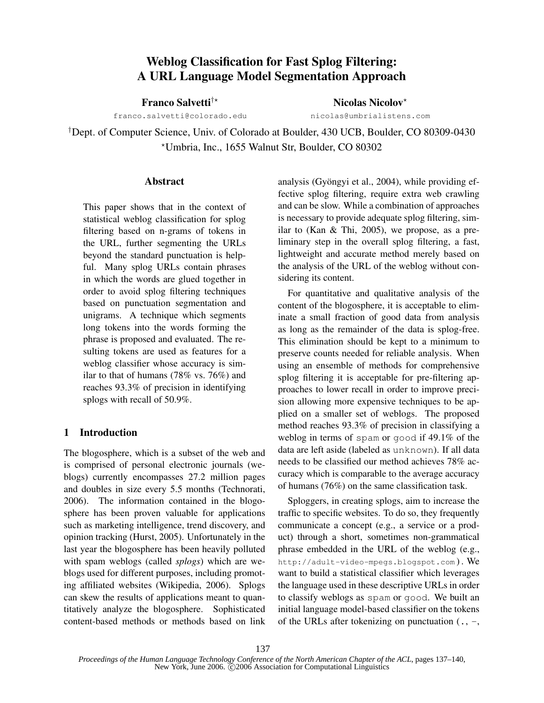# Weblog Classification for Fast Splog Filtering: A URL Language Model Segmentation Approach

Franco Salvetti<sup>†\*</sup>  $\qquad \qquad$ Nicolas Nicolov<sup>\*</sup>

franco.salvetti@colorado.edu nicolas@umbrialistens.com

† Dept. of Computer Science, Univ. of Colorado at Boulder, 430 UCB, Boulder, CO 80309-0430 !Umbria, Inc., 1655 Walnut Str, Boulder, CO 80302

## Abstract

This paper shows that in the context of statistical weblog classification for splog filtering based on n-grams of tokens in the URL, further segmenting the URLs beyond the standard punctuation is helpful. Many splog URLs contain phrases in which the words are glued together in order to avoid splog filtering techniques based on punctuation segmentation and unigrams. A technique which segments long tokens into the words forming the phrase is proposed and evaluated. The resulting tokens are used as features for a weblog classifier whose accuracy is similar to that of humans (78% vs. 76%) and reaches 93.3% of precision in identifying splogs with recall of 50.9%.

## 1 Introduction

The blogosphere, which is a subset of the web and is comprised of personal electronic journals (weblogs) currently encompasses 27.2 million pages and doubles in size every 5.5 months (Technorati, 2006). The information contained in the blogosphere has been proven valuable for applications such as marketing intelligence, trend discovery, and opinion tracking (Hurst, 2005). Unfortunately in the last year the blogosphere has been heavily polluted with spam weblogs (called *splogs*) which are weblogs used for different purposes, including promoting affiliated websites (Wikipedia, 2006). Splogs can skew the results of applications meant to quantitatively analyze the blogosphere. Sophisticated content-based methods or methods based on link analysis (Gyöngyi et al., 2004), while providing effective splog filtering, require extra web crawling and can be slow. While a combination of approaches is necessary to provide adequate splog filtering, similar to (Kan & Thi, 2005), we propose, as a preliminary step in the overall splog filtering, a fast, lightweight and accurate method merely based on the analysis of the URL of the weblog without considering its content.

For quantitative and qualitative analysis of the content of the blogosphere, it is acceptable to eliminate a small fraction of good data from analysis as long as the remainder of the data is splog-free. This elimination should be kept to a minimum to preserve counts needed for reliable analysis. When using an ensemble of methods for comprehensive splog filtering it is acceptable for pre-filtering approaches to lower recall in order to improve precision allowing more expensive techniques to be applied on a smaller set of weblogs. The proposed method reaches 93.3% of precision in classifying a weblog in terms of spam or good if 49.1% of the data are left aside (labeled as unknown). If all data needs to be classified our method achieves 78% accuracy which is comparable to the average accuracy of humans (76%) on the same classification task.

Sploggers, in creating splogs, aim to increase the traffic to specific websites. To do so, they frequently communicate a concept (e.g., a service or a product) through a short, sometimes non-grammatical phrase embedded in the URL of the weblog (e.g., http://adult-video-mpegs.blogspot.com). We want to build a statistical classifier which leverages the language used in these descriptive URLs in order to classify weblogs as spam or good. We built an initial language model-based classifier on the tokens of the URLs after tokenizing on punctuation  $(., -,$ 

*Proceedings of the Human Language Technology Conference of the North American Chapter of the ACL*, pages 137–140, New York, June 2006. C 2006 Association for Computational Linguistics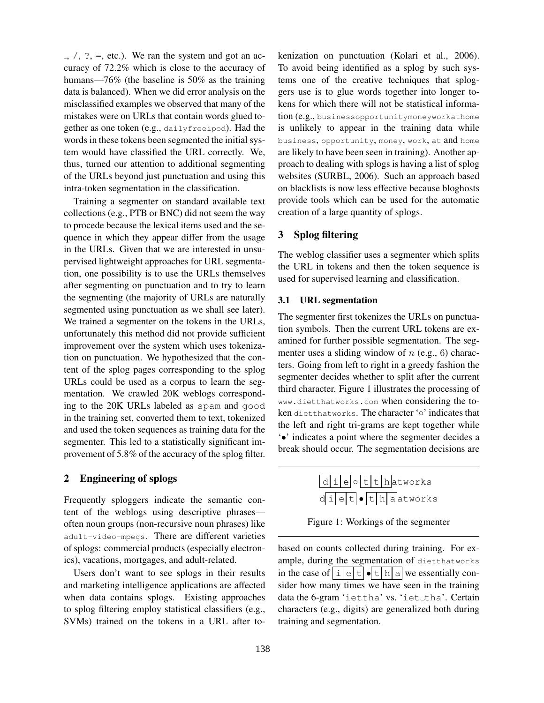$\alpha$ ,  $\beta$ ,  $\beta$ ,  $\gamma$ ,  $\gamma$ ,  $\gamma$ ,  $\gamma$ , etc.). We ran the system and got an accuracy of 72.2% which is close to the accuracy of humans—76% (the baseline is 50% as the training data is balanced). When we did error analysis on the misclassified examples we observed that many of the mistakes were on URLs that contain words glued together as one token (e.g., dailyfreeipod). Had the words in these tokens been segmented the initial system would have classified the URL correctly. We, thus, turned our attention to additional segmenting of the URLs beyond just punctuation and using this intra-token segmentation in the classification.

Training a segmenter on standard available text collections (e.g., PTB or BNC) did not seem the way to procede because the lexical items used and the sequence in which they appear differ from the usage in the URLs. Given that we are interested in unsupervised lightweight approaches for URL segmentation, one possibility is to use the URLs themselves after segmenting on punctuation and to try to learn the segmenting (the majority of URLs are naturally segmented using punctuation as we shall see later). We trained a segmenter on the tokens in the URLs, unfortunately this method did not provide sufficient improvement over the system which uses tokenization on punctuation. We hypothesized that the content of the splog pages corresponding to the splog URLs could be used as a corpus to learn the segmentation. We crawled 20K weblogs corresponding to the 20K URLs labeled as spam and good in the training set, converted them to text, tokenized and used the token sequences as training data for the segmenter. This led to a statistically significant improvement of 5.8% of the accuracy of the splog filter.

## 2 Engineering of splogs

Frequently sploggers indicate the semantic content of the weblogs using descriptive phrases often noun groups (non-recursive noun phrases) like adult-video-mpegs. There are different varieties of splogs: commercial products (especially electronics), vacations, mortgages, and adult-related.

Users don't want to see splogs in their results and marketing intelligence applications are affected when data contains splogs. Existing approaches to splog filtering employ statistical classifiers (e.g., SVMs) trained on the tokens in a URL after tokenization on punctuation (Kolari et al., 2006). To avoid being identified as a splog by such systems one of the creative techniques that sploggers use is to glue words together into longer tokens for which there will not be statistical information (e.g., businessopportunitymoneyworkathome is unlikely to appear in the training data while business, opportunity, money, work, at and home are likely to have been seen in training). Another approach to dealing with splogs is having a list of splog websites (SURBL, 2006). Such an approach based on blacklists is now less effective because bloghosts provide tools which can be used for the automatic creation of a large quantity of splogs.

### 3 Splog filtering

The weblog classifier uses a segmenter which splits the URL in tokens and then the token sequence is used for supervised learning and classification.

#### 3.1 URL segmentation

The segmenter first tokenizes the URLs on punctuation symbols. Then the current URL tokens are examined for further possible segmentation. The segmenter uses a sliding window of  $n$  (e.g., 6) characters. Going from left to right in a greedy fashion the segmenter decides whether to split after the current third character. Figure 1 illustrates the processing of www.dietthatworks.com when considering the token dietthatworks. The character '∘' indicates that the left and right tri-grams are kept together while '•' indicates a point where the segmenter decides a break should occur. The segmentation decisions are

|  |  |  |  | $d_i e$ o t t hatworks                         |
|--|--|--|--|------------------------------------------------|
|  |  |  |  | $d\text{ile}t$ $\bullet$ $t$ $h$ $a$ $atworks$ |

Figure 1: Workings of the segmenter

based on counts collected during training. For example, during the segmentation of dietthatworks in the case of  $\boxed{i}$   $\boxed{e}$   $\boxed{t}$   $\boxed{h}$  a we essentially consider how many times we have seen in the training data the 6-gram 'iettha' vs. 'iet\_tha'. Certain characters (e.g., digits) are generalized both during training and segmentation.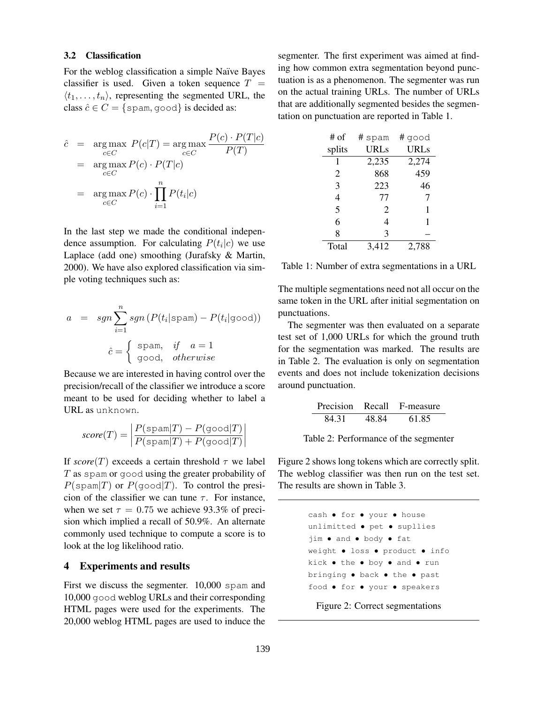#### 3.2 Classification

For the weblog classification a simple Naïve Bayes classifier is used. Given a token sequence  $T =$  $\langle t_1, \ldots, t_n \rangle$ , representing the segmented URL, the class  $\hat{c} \in C = \{ \text{spam}, \text{good} \}$  is decided as:

$$
\hat{c} = \underset{c \in C}{\arg \max} P(c|T) = \underset{c \in C}{\arg \max} \frac{P(c) \cdot P(T|c)}{P(T)}
$$
\n
$$
= \underset{c \in C}{\arg \max} P(c) \cdot P(T|c)
$$
\n
$$
= \underset{c \in C}{\arg \max} P(c) \cdot \prod_{i=1}^{n} P(t_i|c)
$$

In the last step we made the conditional independence assumption. For calculating  $P(t_i|c)$  we use Laplace (add one) smoothing (Jurafsky & Martin, 2000). We have also explored classification via simple voting techniques such as:

$$
a = sgn \sum_{i=1}^{n} sgn (P(t_i | \text{spam}) - P(t_i | \text{good}))
$$

$$
\hat{c} = \begin{cases} \text{spam}, & \text{if } a = 1 \\ \text{good}, & \text{otherwise} \end{cases}
$$

Because we are interested in having control over the precision/recall of the classifier we introduce a score meant to be used for deciding whether to label a URL as unknown.

$$
score(T) = \left| \frac{P(\text{spam}|T) - P(\text{good}|T)}{P(\text{spam}|T) + P(\text{good}|T)} \right|
$$

If  $score(T)$  exceeds a certain threshold  $\tau$  we label  $T$  as spam or good using the greater probability of  $P(\text{span}|T)$  or  $P(\text{good}|T)$ . To control the presicion of the classifier we can tune  $\tau$ . For instance, when we set  $\tau = 0.75$  we achieve 93.3% of precision which implied a recall of 50.9%. An alternate commonly used technique to compute a score is to look at the log likelihood ratio.

#### 4 Experiments and results

First we discuss the segmenter. 10,000 spam and 10,000 good weblog URLs and their corresponding HTML pages were used for the experiments. The 20,000 weblog HTML pages are used to induce the segmenter. The first experiment was aimed at finding how common extra segmentation beyond punctuation is as a phenomenon. The segmenter was run on the actual training URLs. The number of URLs that are additionally segmented besides the segmentation on punctuation are reported in Table 1.

| # of   | # spam | # good      |
|--------|--------|-------------|
| splits | URLs   | <b>URLs</b> |
| 1      | 2,235  | 2,274       |
| 2      | 868    | 459         |
| 3      | 223    | 46          |
| 4      | 77     | 7           |
| 5      | 2      | 1           |
| 6      | 4      | 1           |
| 8      | 3      |             |
| Total  | 3,412  | 2,788       |

Table 1: Number of extra segmentations in a URL

The multiple segmentations need not all occur on the same token in the URL after initial segmentation on punctuations.

The segmenter was then evaluated on a separate test set of 1,000 URLs for which the ground truth for the segmentation was marked. The results are in Table 2. The evaluation is only on segmentation events and does not include tokenization decisions around punctuation.

Precision Recall F-measure 84.31 48.84 61.85

Table 2: Performance of the segmenter

Figure 2 shows long tokens which are correctly split. The weblog classifier was then run on the test set. The results are shown in Table 3.

```
cash • for • your • house
unlimitted • pet • supllies
jim • and • body • fat
weight • loss • product • info
kick • the • boy • and • run
bringing • back • the • past
food • for • your • speakers
```
Figure 2: Correct segmentations